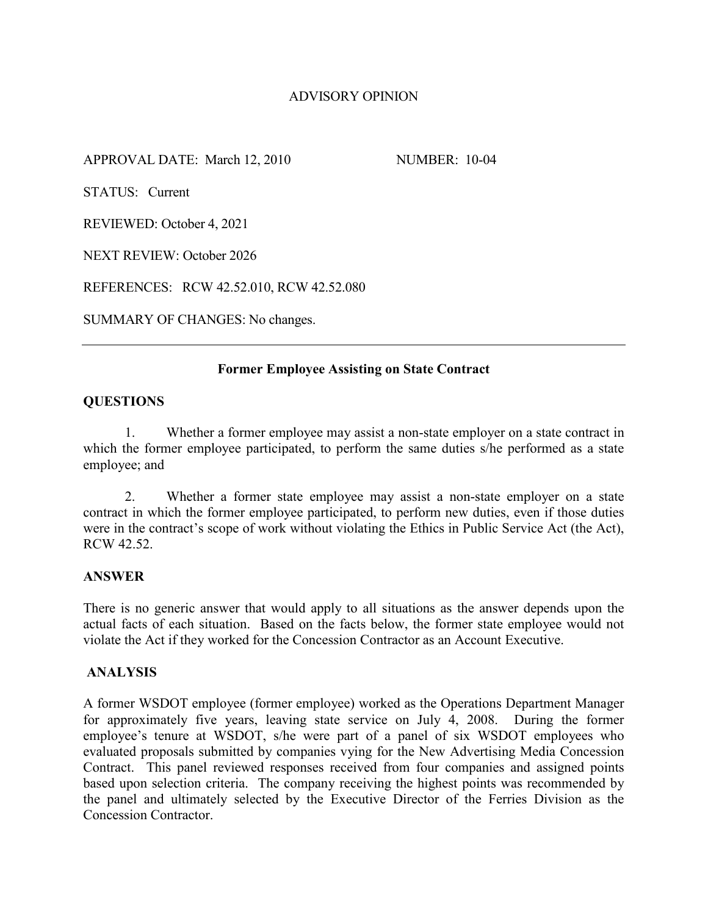# ADVISORY OPINION

APPROVAL DATE: March 12, 2010 NUMBER: 10-04

STATUS: Current

REVIEWED: October 4, 2021

NEXT REVIEW: October 2026

REFERENCES: RCW 42.52.010, RCW 42.52.080

SUMMARY OF CHANGES: No changes.

## **Former Employee Assisting on State Contract**

## **QUESTIONS**

1. Whether a former employee may assist a non-state employer on a state contract in which the former employee participated, to perform the same duties s/he performed as a state employee; and

2. Whether a former state employee may assist a non-state employer on a state contract in which the former employee participated, to perform new duties, even if those duties were in the contract's scope of work without violating the Ethics in Public Service Act (the Act), RCW 42.52.

## **ANSWER**

There is no generic answer that would apply to all situations as the answer depends upon the actual facts of each situation. Based on the facts below, the former state employee would not violate the Act if they worked for the Concession Contractor as an Account Executive.

## **ANALYSIS**

A former WSDOT employee (former employee) worked as the Operations Department Manager for approximately five years, leaving state service on July 4, 2008. During the former employee's tenure at WSDOT, s/he were part of a panel of six WSDOT employees who evaluated proposals submitted by companies vying for the New Advertising Media Concession Contract. This panel reviewed responses received from four companies and assigned points based upon selection criteria. The company receiving the highest points was recommended by the panel and ultimately selected by the Executive Director of the Ferries Division as the Concession Contractor.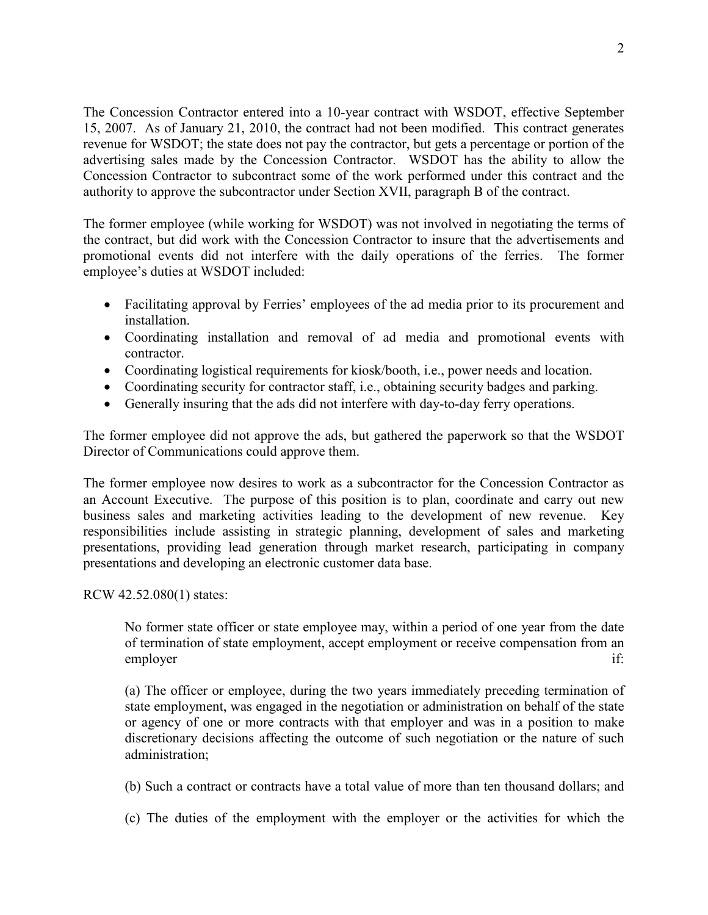The Concession Contractor entered into a 10-year contract with WSDOT, effective September 15, 2007. As of January 21, 2010, the contract had not been modified. This contract generates revenue for WSDOT; the state does not pay the contractor, but gets a percentage or portion of the advertising sales made by the Concession Contractor. WSDOT has the ability to allow the Concession Contractor to subcontract some of the work performed under this contract and the authority to approve the subcontractor under Section XVII, paragraph B of the contract.

The former employee (while working for WSDOT) was not involved in negotiating the terms of the contract, but did work with the Concession Contractor to insure that the advertisements and promotional events did not interfere with the daily operations of the ferries. The former employee's duties at WSDOT included:

- Facilitating approval by Ferries' employees of the ad media prior to its procurement and installation.
- Coordinating installation and removal of ad media and promotional events with contractor.
- Coordinating logistical requirements for kiosk/booth, i.e., power needs and location.
- Coordinating security for contractor staff, i.e., obtaining security badges and parking.
- Generally insuring that the ads did not interfere with day-to-day ferry operations.

The former employee did not approve the ads, but gathered the paperwork so that the WSDOT Director of Communications could approve them.

The former employee now desires to work as a subcontractor for the Concession Contractor as an Account Executive. The purpose of this position is to plan, coordinate and carry out new business sales and marketing activities leading to the development of new revenue. Key responsibilities include assisting in strategic planning, development of sales and marketing presentations, providing lead generation through market research, participating in company presentations and developing an electronic customer data base.

RCW 42.52.080(1) states:

No former state officer or state employee may, within a period of one year from the date of termination of state employment, accept employment or receive compensation from an employer if:

(a) The officer or employee, during the two years immediately preceding termination of state employment, was engaged in the negotiation or administration on behalf of the state or agency of one or more contracts with that employer and was in a position to make discretionary decisions affecting the outcome of such negotiation or the nature of such administration;

(b) Such a contract or contracts have a total value of more than ten thousand dollars; and

(c) The duties of the employment with the employer or the activities for which the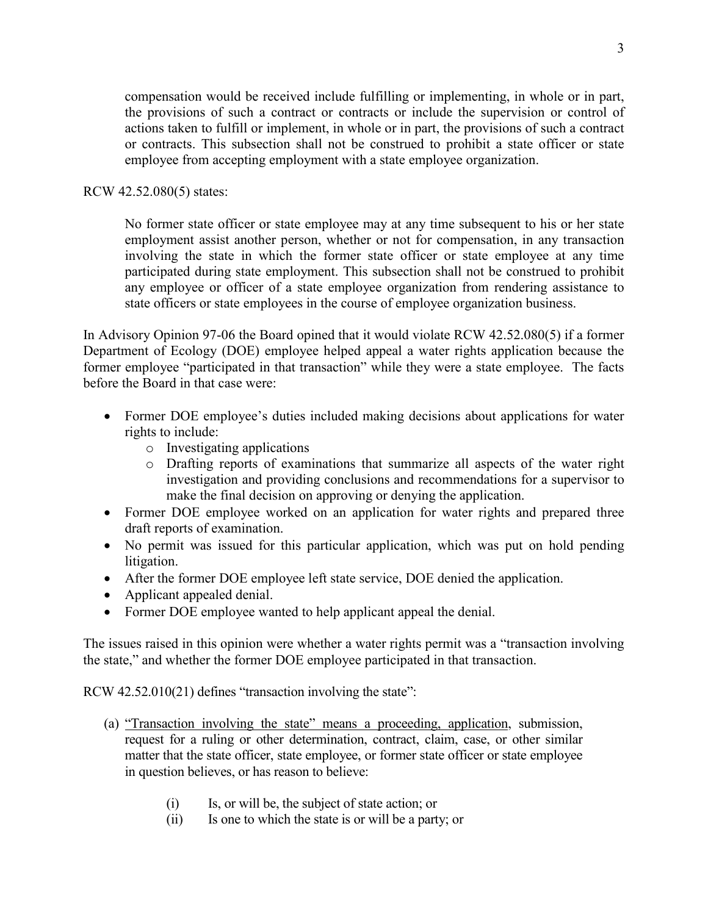compensation would be received include fulfilling or implementing, in whole or in part, the provisions of such a contract or contracts or include the supervision or control of actions taken to fulfill or implement, in whole or in part, the provisions of such a contract or contracts. This subsection shall not be construed to prohibit a state officer or state employee from accepting employment with a state employee organization.

#### RCW 42.52.080(5) states:

No former state officer or state employee may at any time subsequent to his or her state employment assist another person, whether or not for compensation, in any transaction involving the state in which the former state officer or state employee at any time participated during state employment. This subsection shall not be construed to prohibit any employee or officer of a state employee organization from rendering assistance to state officers or state employees in the course of employee organization business.

In Advisory Opinion 97-06 the Board opined that it would violate RCW 42.52.080(5) if a former Department of Ecology (DOE) employee helped appeal a water rights application because the former employee "participated in that transaction" while they were a state employee. The facts before the Board in that case were:

- Former DOE employee's duties included making decisions about applications for water rights to include:
	- o Investigating applications
	- o Drafting reports of examinations that summarize all aspects of the water right investigation and providing conclusions and recommendations for a supervisor to make the final decision on approving or denying the application.
- Former DOE employee worked on an application for water rights and prepared three draft reports of examination.
- No permit was issued for this particular application, which was put on hold pending litigation.
- After the former DOE employee left state service, DOE denied the application.
- Applicant appealed denial.
- Former DOE employee wanted to help applicant appeal the denial.

The issues raised in this opinion were whether a water rights permit was a "transaction involving the state," and whether the former DOE employee participated in that transaction.

RCW 42.52.010(21) defines "transaction involving the state":

- (a) "Transaction involving the state" means a proceeding, application, submission, request for a ruling or other determination, contract, claim, case, or other similar matter that the state officer, state employee, or former state officer or state employee in question believes, or has reason to believe:
	- (i) Is, or will be, the subject of state action; or
	- (ii) Is one to which the state is or will be a party; or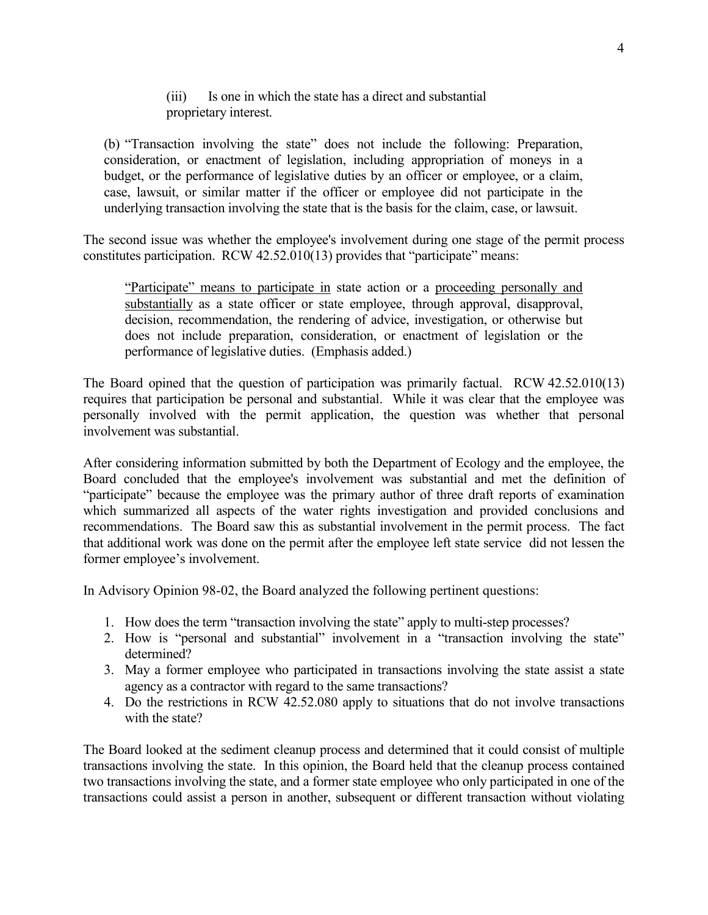## (iii) Is one in which the state has a direct and substantial proprietary interest.

(b) "Transaction involving the state" does not include the following: Preparation, consideration, or enactment of legislation, including appropriation of moneys in a budget, or the performance of legislative duties by an officer or employee, or a claim, case, lawsuit, or similar matter if the officer or employee did not participate in the underlying transaction involving the state that is the basis for the claim, case, or lawsuit.

The second issue was whether the employee's involvement during one stage of the permit process constitutes participation. RCW 42.52.010(13) provides that "participate" means:

"Participate" means to participate in state action or a proceeding personally and substantially as a state officer or state employee, through approval, disapproval, decision, recommendation, the rendering of advice, investigation, or otherwise but does not include preparation, consideration, or enactment of legislation or the performance of legislative duties. (Emphasis added.)

The Board opined that the question of participation was primarily factual. RCW 42.52.010(13) requires that participation be personal and substantial. While it was clear that the employee was personally involved with the permit application, the question was whether that personal involvement was substantial.

After considering information submitted by both the Department of Ecology and the employee, the Board concluded that the employee's involvement was substantial and met the definition of "participate" because the employee was the primary author of three draft reports of examination which summarized all aspects of the water rights investigation and provided conclusions and recommendations. The Board saw this as substantial involvement in the permit process. The fact that additional work was done on the permit after the employee left state service did not lessen the former employee's involvement.

In Advisory Opinion 98-02, the Board analyzed the following pertinent questions:

- 1. How does the term "transaction involving the state" apply to multi-step processes?
- 2. How is "personal and substantial" involvement in a "transaction involving the state" determined?
- 3. May a former employee who participated in transactions involving the state assist a state agency as a contractor with regard to the same transactions?
- 4. Do the restrictions in RCW 42.52.080 apply to situations that do not involve transactions with the state?

The Board looked at the sediment cleanup process and determined that it could consist of multiple transactions involving the state. In this opinion, the Board held that the cleanup process contained two transactions involving the state, and a former state employee who only participated in one of the transactions could assist a person in another, subsequent or different transaction without violating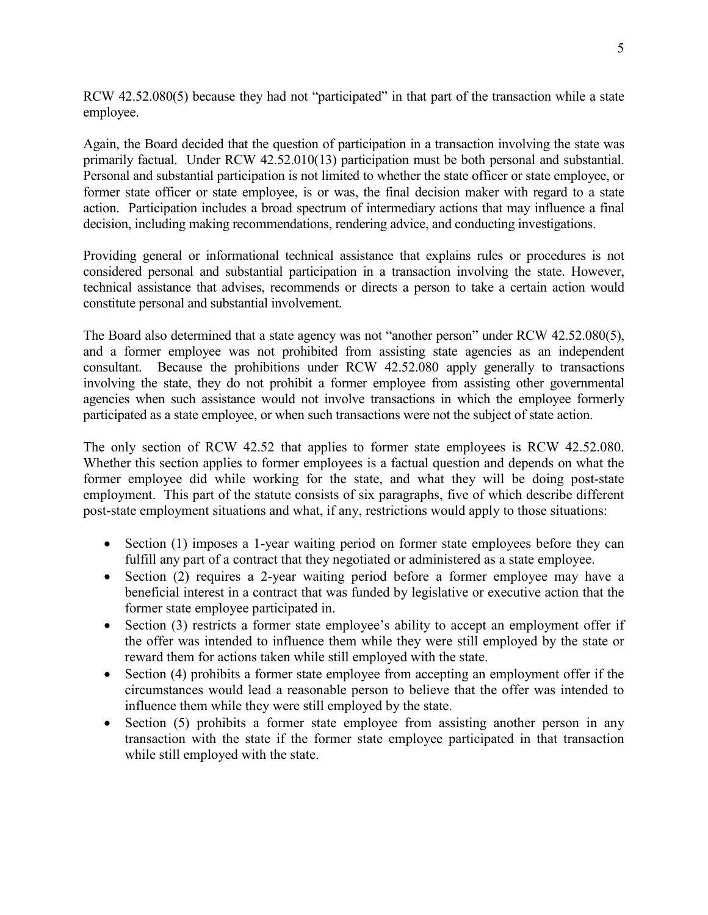RCW 42.52.080(5) because they had not "participated" in that part of the transaction while a state employee.

Again, the Board decided that the question of participation in a transaction involving the state was primarily factual. Under RCW 42.52.010(13) participation must be both personal and substantial. Personal and substantial participation is not limited to whether the state officer or state employee, or former state officer or state employee, is or was, the final decision maker with regard to a state action. Participation includes a broad spectrum of intermediary actions that may influence a final decision, including making recommendations, rendering advice, and conducting investigations.

Providing general or informational technical assistance that explains rules or procedures is not considered personal and substantial participation in a transaction involving the state. However, technical assistance that advises, recommends or directs a person to take a certain action would constitute personal and substantial involvement.

The Board also determined that a state agency was not "another person" under RCW 42.52.080(5), and a former employee was not prohibited from assisting state agencies as an independent consultant. Because the prohibitions under RCW 42.52.080 apply generally to transactions involving the state, they do not prohibit a former employee from assisting other governmental agencies when such assistance would not involve transactions in which the employee formerly participated as a state employee, or when such transactions were not the subject of state action.

The only section of RCW 42.52 that applies to former state employees is RCW 42.52.080. Whether this section applies to former employees is a factual question and depends on what the former employee did while working for the state, and what they will be doing post-state employment. This part of the statute consists of six paragraphs, five of which describe different post-state employment situations and what, if any, restrictions would apply to those situations:

- Section (1) imposes a 1-year waiting period on former state employees before they can fulfill any part of a contract that they negotiated or administered as a state employee.
- Section (2) requires a 2-year waiting period before a former employee may have a beneficial interest in a contract that was funded by legislative or executive action that the former state employee participated in.
- Section (3) restricts a former state employee's ability to accept an employment offer if the offer was intended to influence them while they were still employed by the state or reward them for actions taken while still employed with the state.
- Section (4) prohibits a former state employee from accepting an employment offer if the circumstances would lead a reasonable person to believe that the offer was intended to influence them while they were still employed by the state.
- Section (5) prohibits a former state employee from assisting another person in any transaction with the state if the former state employee participated in that transaction while still employed with the state.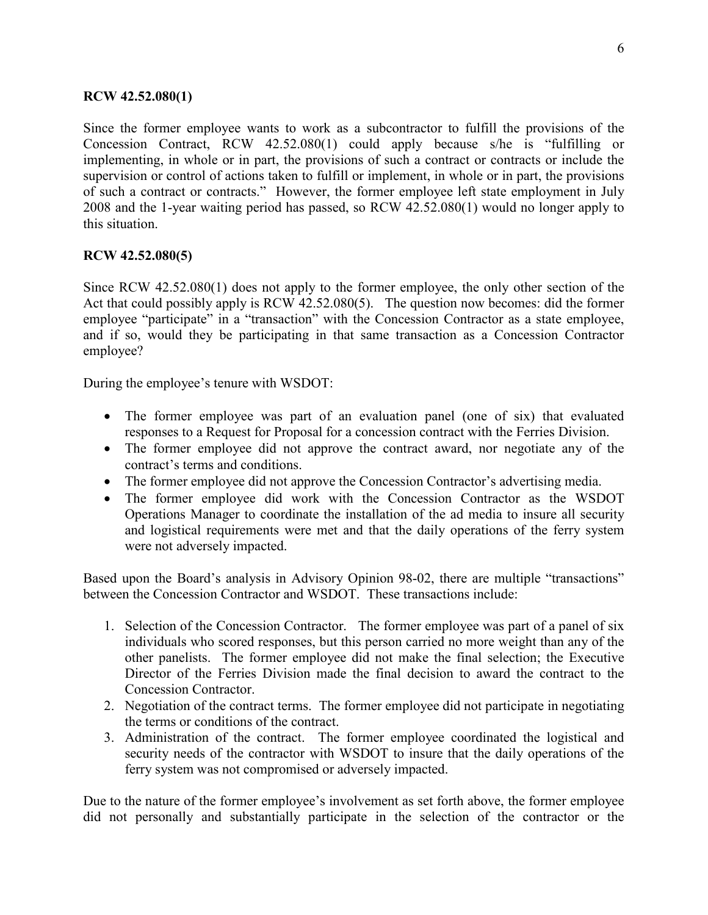## **RCW 42.52.080(1)**

Since the former employee wants to work as a subcontractor to fulfill the provisions of the Concession Contract, RCW 42.52.080(1) could apply because s/he is "fulfilling or implementing, in whole or in part, the provisions of such a contract or contracts or include the supervision or control of actions taken to fulfill or implement, in whole or in part, the provisions of such a contract or contracts." However, the former employee left state employment in July 2008 and the 1-year waiting period has passed, so RCW 42.52.080(1) would no longer apply to this situation.

#### **RCW 42.52.080(5)**

Since RCW 42.52.080(1) does not apply to the former employee, the only other section of the Act that could possibly apply is RCW 42.52.080(5). The question now becomes: did the former employee "participate" in a "transaction" with the Concession Contractor as a state employee, and if so, would they be participating in that same transaction as a Concession Contractor employee?

During the employee's tenure with WSDOT:

- The former employee was part of an evaluation panel (one of six) that evaluated responses to a Request for Proposal for a concession contract with the Ferries Division.
- The former employee did not approve the contract award, nor negotiate any of the contract's terms and conditions.
- The former employee did not approve the Concession Contractor's advertising media.
- The former employee did work with the Concession Contractor as the WSDOT Operations Manager to coordinate the installation of the ad media to insure all security and logistical requirements were met and that the daily operations of the ferry system were not adversely impacted.

Based upon the Board's analysis in Advisory Opinion 98-02, there are multiple "transactions" between the Concession Contractor and WSDOT. These transactions include:

- 1. Selection of the Concession Contractor. The former employee was part of a panel of six individuals who scored responses, but this person carried no more weight than any of the other panelists. The former employee did not make the final selection; the Executive Director of the Ferries Division made the final decision to award the contract to the Concession Contractor.
- 2. Negotiation of the contract terms. The former employee did not participate in negotiating the terms or conditions of the contract.
- 3. Administration of the contract. The former employee coordinated the logistical and security needs of the contractor with WSDOT to insure that the daily operations of the ferry system was not compromised or adversely impacted.

Due to the nature of the former employee's involvement as set forth above, the former employee did not personally and substantially participate in the selection of the contractor or the